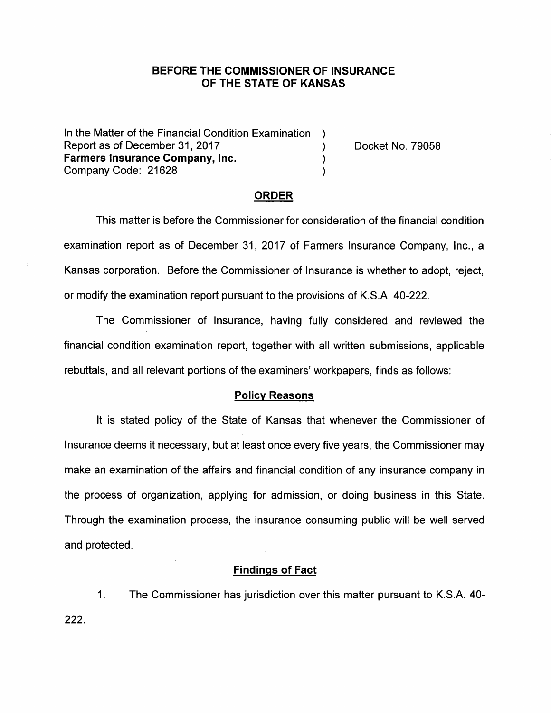## **BEFORE THE COMMISSIONER OF INSURANCE OF THE STATE OF KANSAS**

In the Matter of the Financial Condition Examination Report as of December 31, 2017 (and the control of the Docket No. 79058) **Farmers Insurance Company, Inc.** (1) Company Code: 21628 )

### **ORDER**

This matter is before the Commissioner for consideration of the financial condition examination report as of December 31, 2017 of Farmers Insurance Company, Inc., a Kansas corporation. Before the Commissioner of Insurance is whether to adopt, reject, or modify the examination report pursuant to the provisions of K.S.A. 40-222.

The Commissioner of Insurance, having fully considered and reviewed the financial condition examination report, together with all written submissions, applicable rebuttals, and all relevant portions of the examiners' workpapers, finds as follows:

#### **Policy Reasons**

It is stated policy of the State of Kansas that whenever the Commissioner of Insurance deems it necessary, but at least once every five years, the Commissioner may make an examination of the affairs and financial condition of any insurance company in the process of organization, applying for admission, or doing business in this State. Through the examination process, the insurance consuming public will be well served and protected.

### **Findings of Fact**

1. The Commissioner has jurisdiction over this matter pursuant to K.S.A. 40- 222.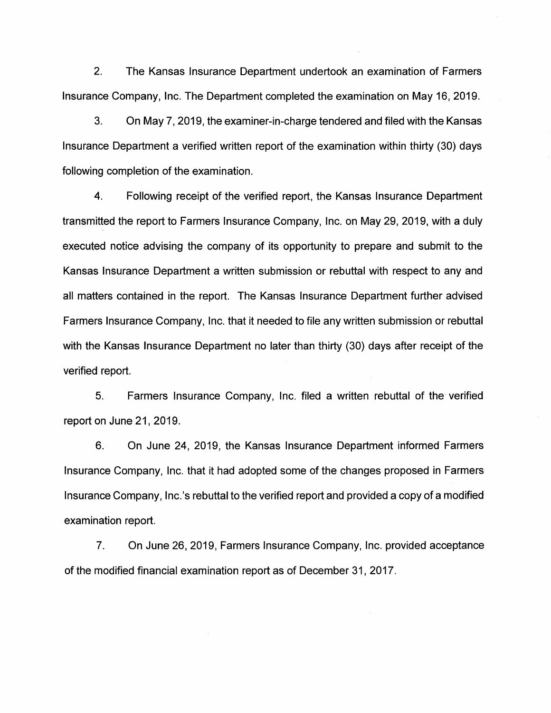2. The Kansas Insurance Department undertook an examination of Farmers Insurance Company, Inc. The Department completed the examination on May 16, 2019.

3. On May 7, 2019, the examiner-in-charge tendered and filed with the Kansas Insurance Department a verified written report of the examination within thirty (30) days following completion of the examination.

4. Following receipt of the verified report, the Kansas Insurance Department transmitted the report to Farmers Insurance Company, Inc. on May 29, 2019, with a duly executed notice advising the company of its opportunity to prepare and submit to the Kansas Insurance Department a written submission or rebuttal with respect to any and all matters contained in the report. The Kansas Insurance Department further advised Farmers Insurance Company, Inc. that it needed to file any written submission or rebuttal with the Kansas Insurance Department no later than thirty (30) days after receipt of the verified report.

5. Farmers Insurance Company, Inc. filed a written rebuttal of the verified report on June 21, 2019.

6. On June 24, 2019, the Kansas Insurance Department informed Farmers Insurance Company, Inc. that it had adopted some of the changes proposed in Farmers Insurance Company, lnc.'s rebuttal to the verified report and provided a copy of a modified examination report.

7. On June 26, 2019, Farmers Insurance Company, Inc. provided acceptance of the modified financial examination report as of December 31, 2017.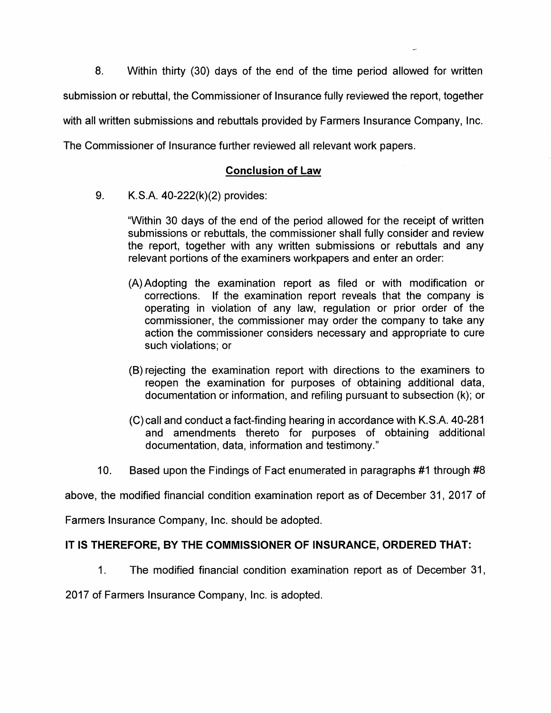8. Within thirty (30) days of the end of the time period allowed for written submission or rebuttal, the Commissioner of Insurance fully reviewed the report, together with all written submissions and rebuttals provided by Farmers Insurance Company, Inc. The Commissioner of Insurance further reviewed all relevant work papers.

# **Conclusion of Law**

9. K.S.A. 40-222(k)(2) provides:

"Within 30 days of the end of the period allowed for the receipt of written submissions or rebuttals, the commissioner shall fully consider and review the report, together with any written submissions or rebuttals and any relevant portions of the examiners workpapers and enter an order:

- (A) Adopting the examination report as filed or with modification or corrections. If the examination report reveals that the company is operating in violation of any law, regulation or prior order of the commissioner, the commissioner may order the company to take any action the commissioner considers necessary and appropriate to cure such violations; or
- (8) rejecting the examination report with directions to the examiners to reopen the examination for purposes of obtaining additional data, documentation or information, and refiling pursuant to subsection (k); or
- (C) call and conduct a fact-finding hearing in accordance with K.S.A. 40-281 and amendments thereto for purposes of obtaining additional documentation, data, information and testimony."
- 10. Based upon the Findings of Fact enumerated in paragraphs #1 through #8

above, the modified financial condition examination report as of December 31, 2017 of

Farmers Insurance Company, Inc. should be adopted.

## **IT IS THEREFORE, BY THE COMMISSIONER OF INSURANCE, ORDERED THAT:**

1. The modified financial condition examination report as of December 31,

2017 of Farmers Insurance Company, Inc. is adopted.